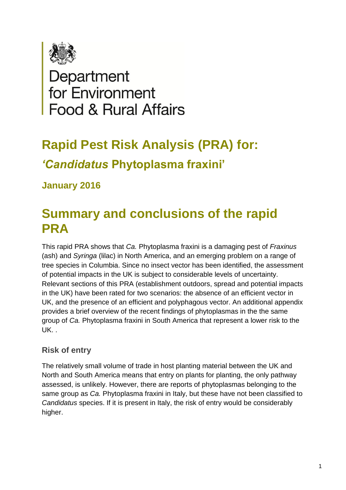

# Department<br>for Environment<br>Food & Rural Affairs

# **Rapid Pest Risk Analysis (PRA) for:** *'Candidatus* **Phytoplasma fraxini'**

**January 2016**

# **Summary and conclusions of the rapid PRA**

This rapid PRA shows that *Ca.* Phytoplasma fraxini is a damaging pest of *Fraxinus* (ash) and *Syringa* (lilac) in North America, and an emerging problem on a range of tree species in Columbia. Since no insect vector has been identified, the assessment of potential impacts in the UK is subject to considerable levels of uncertainty. Relevant sections of this PRA (establishment outdoors, spread and potential impacts in the UK) have been rated for two scenarios: the absence of an efficient vector in UK, and the presence of an efficient and polyphagous vector. An additional appendix provides a brief overview of the recent findings of phytoplasmas in the the same group of *Ca.* Phytoplasma fraxini in South America that represent a lower risk to the UK. .

#### **Risk of entry**

The relatively small volume of trade in host planting material between the UK and North and South America means that entry on plants for planting, the only pathway assessed, is unlikely. However, there are reports of phytoplasmas belonging to the same group as *Ca.* Phytoplasma fraxini in Italy, but these have not been classified to *Candidatus* species. If it is present in Italy, the risk of entry would be considerably higher.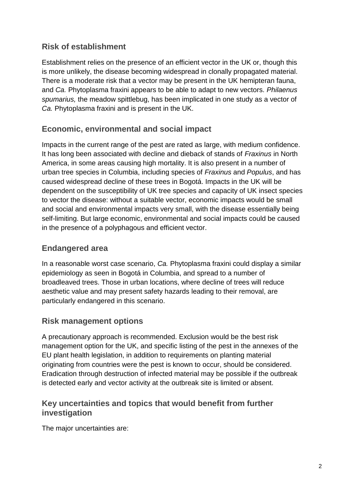#### **Risk of establishment**

Establishment relies on the presence of an efficient vector in the UK or, though this is more unlikely, the disease becoming widespread in clonally propagated material. There is a moderate risk that a vector may be present in the UK hemipteran fauna, and *Ca.* Phytoplasma fraxini appears to be able to adapt to new vectors. *Philaenus spumarius,* the meadow spittlebug, has been implicated in one study as a vector of *Ca.* Phytoplasma fraxini and is present in the UK.

#### **Economic, environmental and social impact**

Impacts in the current range of the pest are rated as large, with medium confidence. It has long been associated with decline and dieback of stands of *Fraxinus* in North America, in some areas causing high mortality. It is also present in a number of urban tree species in Columbia, including species of *Fraxinus* and *Populus*, and has caused widespread decline of these trees in Bogotá. Impacts in the UK will be dependent on the susceptibility of UK tree species and capacity of UK insect species to vector the disease: without a suitable vector, economic impacts would be small and social and environmental impacts very small, with the disease essentially being self-limiting. But large economic, environmental and social impacts could be caused in the presence of a polyphagous and efficient vector.

#### **Endangered area**

In a reasonable worst case scenario, *Ca.* Phytoplasma fraxini could display a similar epidemiology as seen in Bogotá in Columbia, and spread to a number of broadleaved trees. Those in urban locations, where decline of trees will reduce aesthetic value and may present safety hazards leading to their removal, are particularly endangered in this scenario.

#### **Risk management options**

A precautionary approach is recommended. Exclusion would be the best risk management option for the UK, and specific listing of the pest in the annexes of the EU plant health legislation, in addition to requirements on planting material originating from countries were the pest is known to occur, should be considered. Eradication through destruction of infected material may be possible if the outbreak is detected early and vector activity at the outbreak site is limited or absent.

#### **Key uncertainties and topics that would benefit from further investigation**

The major uncertainties are: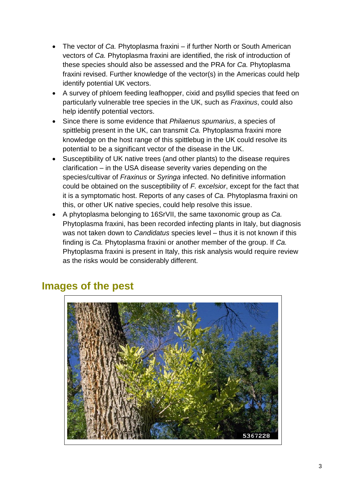- The vector of *Ca.* Phytoplasma fraxini if further North or South American vectors of *Ca.* Phytoplasma fraxini are identified, the risk of introduction of these species should also be assessed and the PRA for *Ca.* Phytoplasma fraxini revised. Further knowledge of the vector(s) in the Americas could help identify potential UK vectors.
- A survey of phloem feeding leafhopper, cixid and psyllid species that feed on particularly vulnerable tree species in the UK, such as *Fraxinus*, could also help identify potential vectors.
- Since there is some evidence that *Philaenus spumarius*, a species of spittlebig present in the UK, can transmit *Ca.* Phytoplasma fraxini more knowledge on the host range of this spittlebug in the UK could resolve its potential to be a significant vector of the disease in the UK.
- Susceptibility of UK native trees (and other plants) to the disease requires clarification – in the USA disease severity varies depending on the species/cultivar of *Fraxinus* or *Syringa* infected. No definitive information could be obtained on the susceptibility of *F. excelsior*, except for the fact that it is a symptomatic host. Reports of any cases of *Ca.* Phytoplasma fraxini on this, or other UK native species, could help resolve this issue.
- A phytoplasma belonging to 16SrVII, the same taxonomic group as *Ca.*  Phytoplasma fraxini, has been recorded infecting plants in Italy, but diagnosis was not taken down to *Candidatus* species level – thus it is not known if this finding is *Ca.* Phytoplasma fraxini or another member of the group. If *Ca.*  Phytoplasma fraxini is present in Italy, this risk analysis would require review as the risks would be considerably different.



## **Images of the pest**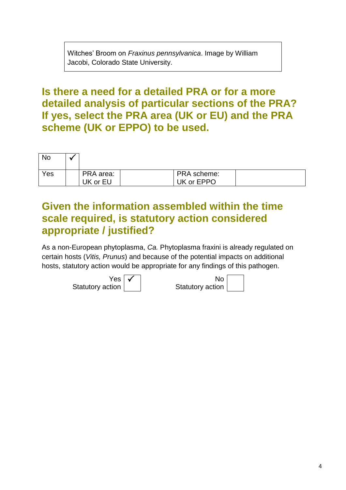Witches' Broom on *Fraxinus pennsylvanica*. Image by William Jacobi, Colorado State University.

## **Is there a need for a detailed PRA or for a more detailed analysis of particular sections of the PRA? If yes, select the PRA area (UK or EU) and the PRA scheme (UK or EPPO) to be used.**

| No  |           |             |  |
|-----|-----------|-------------|--|
| Yes | PRA area: | PRA scheme: |  |
|     | UK or EU  | UK or EPPO  |  |

## **Given the information assembled within the time scale required, is statutory action considered appropriate / justified?**

As a non-European phytoplasma, *Ca.* Phytoplasma fraxini is already regulated on certain hosts (*Vitis, Prunus*) and because of the potential impacts on additional hosts, statutory action would be appropriate for any findings of this pathogen.

| Yes $\mathbf{\nabla}$ | No               |  |
|-----------------------|------------------|--|
| Statutory action      | Statutory action |  |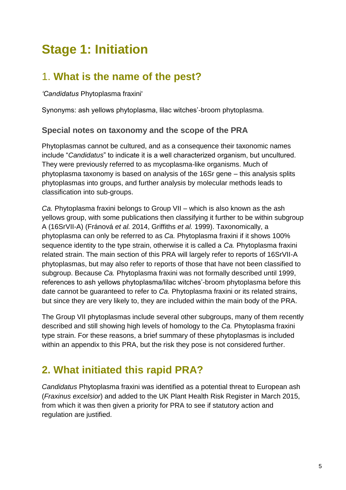# **Stage 1: Initiation**

## 1. **What is the name of the pest?**

*'Candidatus* Phytoplasma fraxini'

Synonyms: ash yellows phytoplasma, lilac witches'-broom phytoplasma.

#### **Special notes on taxonomy and the scope of the PRA**

Phytoplasmas cannot be cultured, and as a consequence their taxonomic names include "*Candidatus*" to indicate it is a well characterized organism, but uncultured. They were previously referred to as mycoplasma-like organisms. Much of phytoplasma taxonomy is based on analysis of the 16Sr gene – this analysis splits phytoplasmas into groups, and further analysis by molecular methods leads to classification into sub-groups.

*Ca.* Phytoplasma fraxini belongs to Group VII – which is also known as the ash yellows group, with some publications then classifying it further to be within subgroup A (16SrVII-A) (Fránová *et al.* 2014, Griffiths *et al.* 1999). Taxonomically, a phytoplasma can only be referred to as *Ca.* Phytoplasma fraxini if it shows 100% sequence identity to the type strain, otherwise it is called a *Ca.* Phytoplasma fraxini related strain. The main section of this PRA will largely refer to reports of 16SrVII-A phytoplasmas, but may also refer to reports of those that have not been classified to subgroup. Because *Ca.* Phytoplasma fraxini was not formally described until 1999, references to ash yellows phytoplasma/lilac witches'-broom phytoplasma before this date cannot be guaranteed to refer to *Ca.* Phytoplasma fraxini or its related strains, but since they are very likely to, they are included within the main body of the PRA.

The Group VII phytoplasmas include several other subgroups, many of them recently described and still showing high levels of homology to the *Ca.* Phytoplasma fraxini type strain. For these reasons, a brief summary of these phytoplasmas is included within an appendix to this PRA, but the risk they pose is not considered further.

## **2. What initiated this rapid PRA?**

*Candidatus* Phytoplasma fraxini was identified as a potential threat to European ash (*Fraxinus excelsior*) and added to the UK Plant Health Risk Register in March 2015, from which it was then given a priority for PRA to see if statutory action and regulation are justified.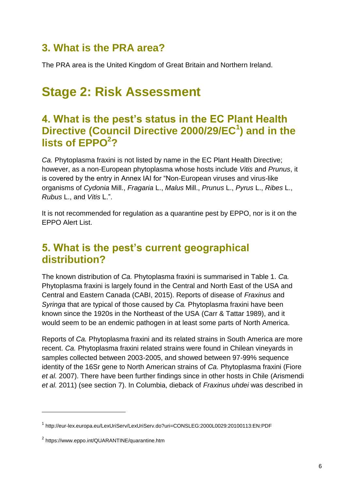## **3. What is the PRA area?**

The PRA area is the United Kingdom of Great Britain and Northern Ireland.

# **Stage 2: Risk Assessment**

## **4. What is the pest's status in the EC Plant Health Directive (Council Directive 2000/29/EC<sup>1</sup> ) and in the lists of EPPO<sup>2</sup> ?**

*Ca.* Phytoplasma fraxini is not listed by name in the EC Plant Health Directive; however, as a non-European phytoplasma whose hosts include *Vitis* and *Prunus*, it is covered by the entry in Annex IAI for "Non-European viruses and virus-like organisms of *Cydonia* Mill., *Fragaria* L., *Malus* Mill., *Prunus* L., *Pyrus* L., *Ribes* L., *Rubus* L., and *Vitis* L.".

It is not recommended for regulation as a quarantine pest by EPPO, nor is it on the EPPO Alert List.

## **5. What is the pest's current geographical distribution?**

The known distribution of *Ca.* Phytoplasma fraxini is summarised in Table 1. *Ca.*  Phytoplasma fraxini is largely found in the Central and North East of the USA and Central and Eastern Canada (CABI, 2015). Reports of disease of *Fraxinus* and *Syringa* that are typical of those caused by *Ca.* Phytoplasma fraxini have been known since the 1920s in the Northeast of the USA (Carr & Tattar 1989), and it would seem to be an endemic pathogen in at least some parts of North America.

Reports of *Ca.* Phytoplasma fraxini and its related strains in South America are more recent. *Ca.* Phytoplasma fraxini related strains were found in Chilean vineyards in samples collected between 2003-2005, and showed between 97-99% sequence identity of the 16Sr gene to North American strains of *Ca.* Phytoplasma fraxini (Fiore *et al.* 2007). There have been further findings since in other hosts in Chile (Arismendi *et al.* 2011) (see section 7). In Columbia, dieback of *Fraxinus uhdei* was described in

<u>.</u>

<sup>1</sup> http://eur-lex.europa.eu/LexUriServ/LexUriServ.do?uri=CONSLEG:2000L0029:20100113:EN:PDF

<sup>&</sup>lt;sup>2</sup> https://www.eppo.int/QUARANTINE/quarantine.htm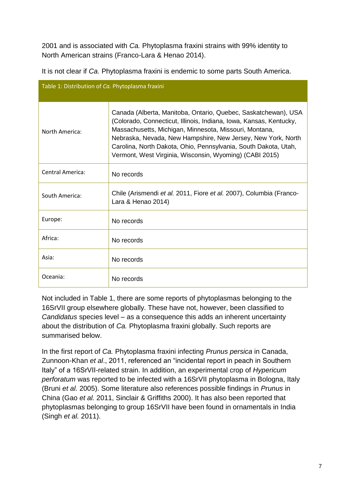2001 and is associated with *Ca.* Phytoplasma fraxini strains with 99% identity to North American strains (Franco-Lara & Henao 2014).

It is not clear if *Ca.* Phytoplasma fraxini is endemic to some parts South America.

| Table 1: Distribution of Ca. Phytoplasma fraxini |                                                                                                                                                                                                                                                                                                                                                                                              |  |  |
|--------------------------------------------------|----------------------------------------------------------------------------------------------------------------------------------------------------------------------------------------------------------------------------------------------------------------------------------------------------------------------------------------------------------------------------------------------|--|--|
| North America:                                   | Canada (Alberta, Manitoba, Ontario, Quebec, Saskatchewan), USA<br>(Colorado, Connecticut, Illinois, Indiana, Iowa, Kansas, Kentucky,<br>Massachusetts, Michigan, Minnesota, Missouri, Montana,<br>Nebraska, Nevada, New Hampshire, New Jersey, New York, North<br>Carolina, North Dakota, Ohio, Pennsylvania, South Dakota, Utah,<br>Vermont, West Virginia, Wisconsin, Wyoming) (CABI 2015) |  |  |
| Central America:                                 | No records                                                                                                                                                                                                                                                                                                                                                                                   |  |  |
| South America:                                   | Chile (Arismendi et al. 2011, Fiore et al. 2007), Columbia (Franco-<br>Lara & Henao 2014)                                                                                                                                                                                                                                                                                                    |  |  |
| Europe:                                          | No records                                                                                                                                                                                                                                                                                                                                                                                   |  |  |
| Africa:                                          | No records                                                                                                                                                                                                                                                                                                                                                                                   |  |  |
| Asia:                                            | No records                                                                                                                                                                                                                                                                                                                                                                                   |  |  |
| Oceania:                                         | No records                                                                                                                                                                                                                                                                                                                                                                                   |  |  |

Not included in Table 1, there are some reports of phytoplasmas belonging to the 16SrVII group elsewhere globally. These have not, however, been classified to *Candidatus* species level – as a consequence this adds an inherent uncertainty about the distribution of *Ca.* Phytoplasma fraxini globally. Such reports are summarised below.

In the first report of *Ca.* Phytoplasma fraxini infecting *Prunus persica* in Canada, Zunnoon-Khan *et al*., 2011, referenced an "incidental report in peach in Southern Italy" of a 16SrVII-related strain. In addition, an experimental crop of *Hypericum perforatum* was reported to be infected with a 16SrVII phytoplasma in Bologna, Italy (Bruni *et al.* 2005). Some literature also references possible findings in *Prunus* in China (Gao *et al.* 2011, Sinclair & Griffiths 2000). It has also been reported that phytoplasmas belonging to group 16SrVII have been found in ornamentals in India (Singh *et al.* 2011).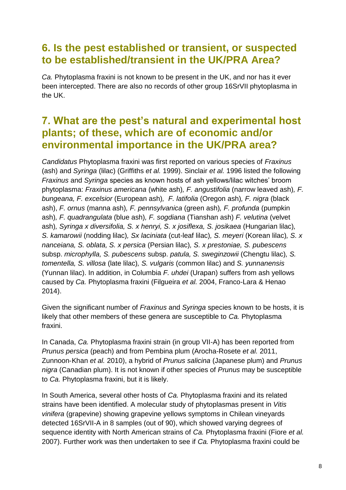## **6. Is the pest established or transient, or suspected to be established/transient in the UK/PRA Area?**

*Ca.* Phytoplasma fraxini is not known to be present in the UK, and nor has it ever been intercepted. There are also no records of other group 16SrVII phytoplasma in the UK.

## **7. What are the pest's natural and experimental host plants; of these, which are of economic and/or environmental importance in the UK/PRA area?**

*Candidatus* Phytoplasma fraxini was first reported on various species of *Fraxinus* (ash) and *Syringa* (lilac) (Griffiths *et al.* 1999). Sinclair *et al.* 1996 listed the following *Fraxinus* and *Syringa* species as known hosts of ash yellows/lilac witches' broom phytoplasma: *Fraxinus americana* (white ash)*, F. angustifolia* (narrow leaved ash)*, F. bungeana, F. excelsior* (European ash)*, F. latifolia* (Oregon ash)*, F. nigra* (black ash), *F. ornus* (manna ash)*, F. pennsylvanica* (green ash)*, F. profunda* (pumpkin ash)*, F. quadrangulata* (blue ash)*, F. sogdiana* (Tianshan ash) *F. velutina* (velvet ash)*, Syringa x diversifolia, S. x henryi, S. x josiflexa, S. josikaea* (Hungarian lilac)*, S. kamarowii* (nodding lilac)*, Sx laciniata* (cut-leaf lilac)*, S. meyeri* (Korean lilac)*, S. x nanceiana, S. oblata, S. x persica* (Persian lilac)*, S. x prestoniae, S. pubescens*  subsp. *microphylla, S. pubescens* subsp. *patula, S. sweginzowii* (Chengtu lilac)*, S. tomentella, S. villosa* (late lilac)*, S. vulgaris* (common lilac) and *S. yunnanensis*  (Yunnan lilac). In addition, in Columbia *F. uhdei* (Urapan) suffers from ash yellows caused by *Ca.* Phytoplasma fraxini (Filgueira *et al.* 2004, Franco-Lara & Henao 2014).

Given the significant number of *Fraxinus* and *Syringa* species known to be hosts, it is likely that other members of these genera are susceptible to *Ca.* Phytoplasma fraxini.

In Canada, *Ca.* Phytoplasma fraxini strain (in group VII-A) has been reported from *Prunus persica* (peach) and from Pembina plum (Arocha-Rosete *et al.* 2011, Zunnoon‐Khan *et al.* 2010), a hybrid of *Prunus salicina* (Japanese plum) and *Prunus nigra* (Canadian plum). It is not known if other species of *Prunus* may be susceptible to *Ca.* Phytoplasma fraxini, but it is likely.

In South America, several other hosts of *Ca.* Phytoplasma fraxini and its related strains have been identified. A molecular study of phytoplasmas present in *Vitis vinifera* (grapevine) showing grapevine yellows symptoms in Chilean vineyards detected 16SrVII-A in 8 samples (out of 90), which showed varying degrees of sequence identity with North American strains of *Ca.* Phytoplasma fraxini (Fiore *et al.* 2007). Further work was then undertaken to see if *Ca.* Phytoplasma fraxini could be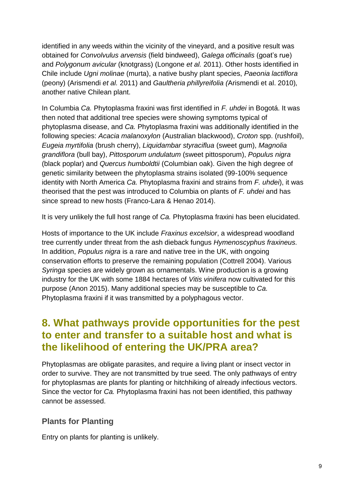identified in any weeds within the vicinity of the vineyard, and a positive result was obtained for *Convolvulus arvensis* (field bindweed), *Galega officinalis* (goat's rue) and *Polygonum avicular* (knotgrass) (Longone *et al.* 2011). Other hosts identified in Chile include *Ugni molinae* (murta), a native bushy plant species, *Paeonia lactiflora* (peony) (Arismendi *et al.* 2011) and *Gaultheria phillyreifolia (*Arismendi et al. 2010)*,*  another native Chilean plant.

In Columbia *Ca.* Phytoplasma fraxini was first identified in *F. uhdei* in Bogotá. It was then noted that additional tree species were showing symptoms typical of phytoplasma disease, and *Ca.* Phytoplasma fraxini was additionally identified in the following species: *Acacia malanoxylon* (Australian blackwood), *Croton* spp. (rushfoil), *Eugeia myrtifolia* (brush cherry), *Liquidambar styraciflua* (sweet gum), *Magnolia grandiflora* (bull bay), *Pittosporum undulatum* (sweet pittosporum), *Populus nigra*  (black poplar) and *Quercus humboldtii* (Columbian oak). Given the high degree of genetic similarity between the phytoplasma strains isolated (99-100% sequence identity with North America *Ca.* Phytoplasma fraxini and strains from *F. uhdei*), it was theorised that the pest was introduced to Columbia on plants of *F. uhdei* and has since spread to new hosts (Franco-Lara & Henao 2014).

It is very unlikely the full host range of *Ca.* Phytoplasma fraxini has been elucidated.

Hosts of importance to the UK include *Fraxinus excelsior*, a widespread woodland tree currently under threat from the ash dieback fungus *Hymenoscyphus fraxineus.*  In addition, *Populus nigra* is a rare and native tree in the UK, with ongoing conservation efforts to preserve the remaining population (Cottrell 2004). Various *Syringa* species are widely grown as ornamentals. Wine production is a growing industry for the UK with some 1884 hectares of *Vitis vinifera* now cultivated for this purpose (Anon 2015). Many additional species may be susceptible to *Ca.*  Phytoplasma fraxini if it was transmitted by a polyphagous vector.

## **8. What pathways provide opportunities for the pest to enter and transfer to a suitable host and what is the likelihood of entering the UK/PRA area?**

Phytoplasmas are obligate parasites, and require a living plant or insect vector in order to survive. They are not transmitted by true seed. The only pathways of entry for phytoplasmas are plants for planting or hitchhiking of already infectious vectors. Since the vector for *Ca.* Phytoplasma fraxini has not been identified, this pathway cannot be assessed.

#### **Plants for Planting**

Entry on plants for planting is unlikely.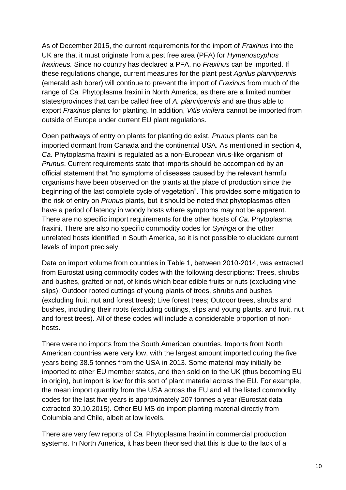As of December 2015, the current requirements for the import of *Fraxinus* into the UK are that it must originate from a pest free area (PFA) for *Hymenoscyphus fraxineus.* Since no country has declared a PFA, no *Fraxinus* can be imported. If these regulations change, current measures for the plant pest *Agrilus plannipennis* (emerald ash borer) will continue to prevent the import of *Fraxinus* from much of the range of *Ca.* Phytoplasma fraxini in North America, as there are a limited number states/provinces that can be called free of *A. plannipennis* and are thus able to export *Fraxinus* plants for planting. In addition, *Vitis vinifera* cannot be imported from outside of Europe under current EU plant regulations.

Open pathways of entry on plants for planting do exist. *Prunus* plants can be imported dormant from Canada and the continental USA. As mentioned in section 4, *Ca.* Phytoplasma fraxini is regulated as a non-European virus-like organism of *Prunus*. Current requirements state that imports should be accompanied by an official statement that "no symptoms of diseases caused by the relevant harmful organisms have been observed on the plants at the place of production since the beginning of the last complete cycle of vegetation". This provides some mitigation to the risk of entry on *Prunus* plants, but it should be noted that phytoplasmas often have a period of latency in woody hosts where symptoms may not be apparent. There are no specific import requirements for the other hosts of *Ca.* Phytoplasma fraxini. There are also no specific commodity codes for *Syringa* or the other unrelated hosts identified in South America, so it is not possible to elucidate current levels of import precisely.

Data on import volume from countries in Table 1, between 2010-2014, was extracted from Eurostat using commodity codes with the following descriptions: Trees, shrubs and bushes, grafted or not, of kinds which bear edible fruits or nuts (excluding vine slips); Outdoor rooted cuttings of young plants of trees, shrubs and bushes (excluding fruit, nut and forest trees); Live forest trees; Outdoor trees, shrubs and bushes, including their roots (excluding cuttings, slips and young plants, and fruit, nut and forest trees). All of these codes will include a considerable proportion of nonhosts.

There were no imports from the South American countries. Imports from North American countries were very low, with the largest amount imported during the five years being 38.5 tonnes from the USA in 2013. Some material may initially be imported to other EU member states, and then sold on to the UK (thus becoming EU in origin), but import is low for this sort of plant material across the EU. For example, the mean import quantity from the USA across the EU and all the listed commodity codes for the last five years is approximately 207 tonnes a year (Eurostat data extracted 30.10.2015). Other EU MS do import planting material directly from Columbia and Chile, albeit at low levels.

There are very few reports of *Ca.* Phytoplasma fraxini in commercial production systems. In North America, it has been theorised that this is due to the lack of a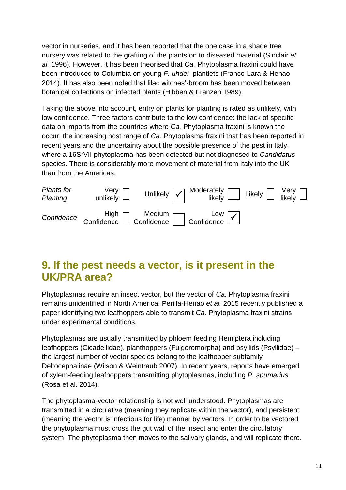vector in nurseries, and it has been reported that the one case in a shade tree nursery was related to the grafting of the plants on to diseased material (Sinclair *et al.* 1996). However, it has been theorised that *Ca.* Phytoplasma fraxini could have been introduced to Columbia on young *F. uhdei* plantlets (Franco-Lara & Henao 2014). It has also been noted that lilac witches'-broom has been moved between botanical collections on infected plants (Hibben & Franzen 1989).

Taking the above into account, entry on plants for planting is rated as unlikely, with low confidence. Three factors contribute to the low confidence: the lack of specific data on imports from the countries where *Ca.* Phytoplasma fraxini is known the occur, the increasing host range of *Ca.* Phytoplasma fraxini that has been reported in recent years and the uncertainty about the possible presence of the pest in Italy, where a 16SrVII phytoplasma has been detected but not diagnosed to *Candidatus* species. There is considerably more movement of material from Italy into the UK than from the Americas.



## **9. If the pest needs a vector, is it present in the UK/PRA area?**

Phytoplasmas require an insect vector, but the vector of *Ca.* Phytoplasma fraxini remains unidentified in North America. Perilla-Henao *et al.* 2015 recently published a paper identifying two leafhoppers able to transmit *Ca.* Phytoplasma fraxini strains under experimental conditions.

Phytoplasmas are usually transmitted by phloem feeding Hemiptera including leafhoppers (Cicadellidae), planthoppers (Fulgoromorpha) and psyllids (Psyllidae) – the largest number of vector species belong to the leafhopper subfamily Deltocephalinae (Wilson & Weintraub 2007). In recent years, reports have emerged of xylem-feeding leafhoppers transmitting phytoplasmas, including *P. spumarius*  (Rosa et al. 2014).

The phytoplasma-vector relationship is not well understood. Phytoplasmas are transmitted in a circulative (meaning they replicate within the vector), and persistent (meaning the vector is infectious for life) manner by vectors. In order to be vectored the phytoplasma must cross the gut wall of the insect and enter the circulatory system. The phytoplasma then moves to the salivary glands, and will replicate there.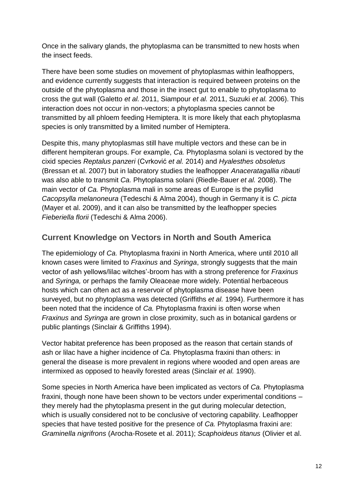Once in the salivary glands, the phytoplasma can be transmitted to new hosts when the insect feeds.

There have been some studies on movement of phytoplasmas within leafhoppers, and evidence currently suggests that interaction is required between proteins on the outside of the phytoplasma and those in the insect gut to enable to phytoplasma to cross the gut wall (Galetto *et al.* 2011, Siampour *et al.* 2011, Suzuki *et al.* 2006). This interaction does not occur in non-vectors; a phytoplasma species cannot be transmitted by all phloem feeding Hemiptera. It is more likely that each phytoplasma species is only transmitted by a limited number of Hemiptera.

Despite this, many phytoplasmas still have multiple vectors and these can be in different hempiteran groups. For example, *Ca.* Phytoplasma solani is vectored by the cixid species *Reptalus panzeri* (Cvrković *et al.* 2014) and *Hyalesthes obsoletus*  (Bressan et al. 2007) but in laboratory studies the leafhopper *Anaceratagallia ribauti* was also able to transmit *Ca.* Phytoplasma solani (Riedle‐Bauer *et al.* 2008). The main vector of *Ca.* Phytoplasma mali in some areas of Europe is the psyllid *Cacopsylla melanoneura* (Tedeschi & Alma 2004), though in Germany it is *C. picta*  (Mayer et al. 2009), and it can also be transmitted by the leafhopper species *Fieberiella florii* (Tedeschi & Alma 2006).

#### **Current Knowledge on Vectors in North and South America**

The epidemiology of *Ca.* Phytoplasma fraxini in North America, where until 2010 all known cases were limited to *Fraxinus* and *Syringa*, strongly suggests that the main vector of ash yellows/lilac witches'-broom has with a strong preference for *Fraxinus*  and *Syringa,* or perhaps the family Oleaceae more widely. Potential herbaceous hosts which can often act as a reservoir of phytoplasma disease have been surveyed, but no phytoplasma was detected (Griffiths *et al.* 1994). Furthermore it has been noted that the incidence of *Ca.* Phytoplasma fraxini is often worse when *Fraxinus* and *Syringa* are grown in close proximity, such as in botanical gardens or public plantings (Sinclair & Griffiths 1994).

Vector habitat preference has been proposed as the reason that certain stands of ash or lilac have a higher incidence of *Ca.* Phytoplasma fraxini than others: in general the disease is more prevalent in regions where wooded and open areas are intermixed as opposed to heavily forested areas (Sinclair *et al.* 1990).

Some species in North America have been implicated as vectors of *Ca.* Phytoplasma fraxini, though none have been shown to be vectors under experimental conditions – they merely had the phytoplasma present in the gut during molecular detection, which is usually considered not to be conclusive of vectoring capability. Leafhopper species that have tested positive for the presence of *Ca.* Phytoplasma fraxini are: *Graminella nigrifrons* (Arocha-Rosete et al. 2011); *Scaphoideus titanus* (Olivier et al.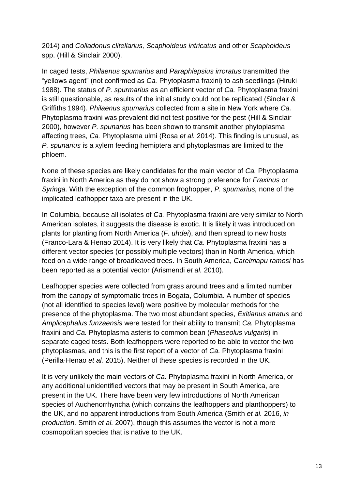2014) and *Colladonus clitellarius, Scaphoideus intricatus* and other *Scaphoideus*  spp. (Hill & Sinclair 2000).

In caged tests, *Philaenus spumarius* and *Paraphlepsius irroratus* transmitted the "yellows agent" (not confirmed as *Ca.* Phytoplasma fraxini) to ash seedlings (Hiruki 1988). The status of *P. spurmarius* as an efficient vector of *Ca.* Phytoplasma fraxini is still questionable, as results of the initial study could not be replicated (Sinclair & Griffiths 1994). *Philaenus spumarius* collected from a site in New York where *Ca.*  Phytoplasma fraxini was prevalent did not test positive for the pest (Hill & Sinclair 2000), however *P. spunarius* has been shown to transmit another phytoplasma affecting trees, *Ca.* Phytoplasma ulmi (Rosa *et al.* 2014). This finding is unusual, as *P. spunarius* is a xylem feeding hemiptera and phytoplasmas are limited to the phloem.

None of these species are likely candidates for the main vector of *Ca.* Phytoplasma fraxini in North America as they do not show a strong preference for *Fraxinus* or *Syringa.* With the exception of the common froghopper, *P. spumarius,* none of the implicated leafhopper taxa are present in the UK.

In Columbia, because all isolates of *Ca.* Phytoplasma fraxini are very similar to North American isolates, it suggests the disease is exotic. It is likely it was introduced on plants for planting from North America (*F. uhdei*), and then spread to new hosts (Franco-Lara & Henao 2014). It is very likely that *Ca.* Phytoplasma fraxini has a different vector species (or possibly multiple vectors) than in North America, which feed on a wide range of broadleaved trees. In South America, *Carelmapu ramosi* has been reported as a potential vector (Arismendi *et al.* 2010).

Leafhopper species were collected from grass around trees and a limited number from the canopy of symptomatic trees in Bogata, Columbia. A number of species (not all identified to species level) were positive by molecular methods for the presence of the phytoplasma. The two most abundant species, *Exitianus atratus* and *Amplicephalus funzaensis* were tested for their ability to transmit *Ca.* Phytoplasma fraxini and *Ca.* Phytoplasma asteris to common bean (*Phaseolus vulgaris*) in separate caged tests. Both leafhoppers were reported to be able to vector the two phytoplasmas, and this is the first report of a vector of *Ca.* Phytoplasma fraxini (Perilla‐Henao *et al.* 2015). Neither of these species is recorded in the UK.

It is very unlikely the main vectors of *Ca.* Phytoplasma fraxini in North America, or any additional unidentified vectors that may be present in South America, are present in the UK. There have been very few introductions of North American species of Auchenorrhyncha (which contains the leafhoppers and planthoppers) to the UK, and no apparent introductions from South America (Smith *et al.* 2016, *in production,* Smith *et al.* 2007), though this assumes the vector is not a more cosmopolitan species that is native to the UK.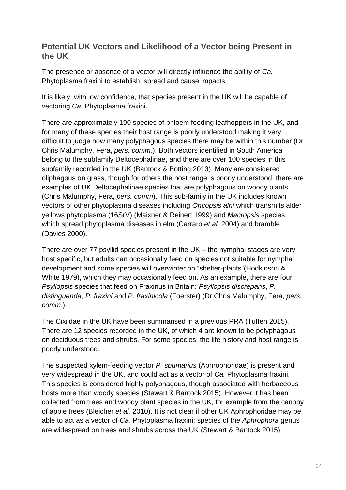#### **Potential UK Vectors and Likelihood of a Vector being Present in the UK**

The presence or absence of a vector will directly influence the ability of *Ca.*  Phytoplasma fraxini to establish, spread and cause impacts.

It is likely, with low confidence, that species present in the UK will be capable of vectoring *Ca.* Phytoplasma fraxini.

There are approximately 190 species of phloem feeding leafhoppers in the UK, and for many of these species their host range is poorly understood making it very difficult to judge how many polyphagous species there may be within this number (Dr Chris Malumphy, Fera, *pers. comm.*). Both vectors identified in South America belong to the subfamily Deltocephalinae, and there are over 100 species in this subfamily recorded in the UK (Bantock & Botting 2013). Many are considered oliphagous on grass, though for others the host range is poorly understood, there are examples of UK Deltocephalinae species that are polyphagous on woody plants (Chris Malumphy, Fera, *pers. comm*). This sub-family in the UK includes known vectors of other phytoplasma diseases including *Oncopsis alni* which transmits alder yellows phytoplasma (16SrV) (Maixner & Reinert 1999) and *Macropsis* species which spread phytoplasma diseases in elm (Carraro *et al.* 2004) and bramble (Davies 2000).

There are over 77 psyllid species present in the UK – the nymphal stages are very host specific, but adults can occasionally feed on species not suitable for nymphal development and some species will overwinter on "shelter-plants"(Hodkinson & White 1979), which they may occasionally feed on. As an example, there are four *Psyllopsis* species that feed on Fraxinus in Britain: *Psyllopsis discrepans*, *P. distinguenda*, *P. fraxini* and *P. fraxinicola* (Foerster) (Dr Chris Malumphy, Fera, *pers. comm.*).

The Cixiidae in the UK have been summarised in a previous PRA (Tuffen 2015). There are 12 species recorded in the UK, of which 4 are known to be polyphagous on deciduous trees and shrubs. For some species, the life history and host range is poorly understood.

The suspected xylem-feeding vector *P. spumarius* (Aphrophoridae) is present and very widespread in the UK, and could act as a vector of *Ca.* Phytoplasma fraxini. This species is considered highly polyphagous, though associated with herbaceous hosts more than woody species (Stewart & Bantock 2015). However it has been collected from trees and woody plant species in the UK, for example from the canopy of apple trees (Bleicher *et al.* 2010). It is not clear if other UK Aphrophoridae may be able to act as a vector of *Ca.* Phytoplasma fraxini: species of the *Aphrophora* genus are widespread on trees and shrubs across the UK (Stewart & Bantock 2015).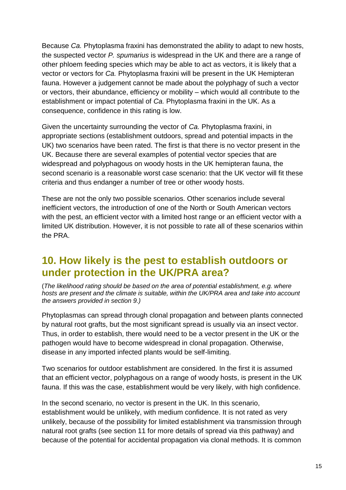Because *Ca.* Phytoplasma fraxini has demonstrated the ability to adapt to new hosts, the suspected vector *P. spumarius* is widespread in the UK and there are a range of other phloem feeding species which may be able to act as vectors, it is likely that a vector or vectors for *Ca.* Phytoplasma fraxini will be present in the UK Hemipteran fauna. However a judgement cannot be made about the polyphagy of such a vector or vectors, their abundance, efficiency or mobility – which would all contribute to the establishment or impact potential of *Ca.* Phytoplasma fraxini in the UK. As a consequence, confidence in this rating is low.

Given the uncertainty surrounding the vector of *Ca.* Phytoplasma fraxini, in appropriate sections (establishment outdoors, spread and potential impacts in the UK) two scenarios have been rated. The first is that there is no vector present in the UK. Because there are several examples of potential vector species that are widespread and polyphagous on woody hosts in the UK hemipteran fauna, the second scenario is a reasonable worst case scenario: that the UK vector will fit these criteria and thus endanger a number of tree or other woody hosts.

These are not the only two possible scenarios. Other scenarios include several inefficient vectors, the introduction of one of the North or South American vectors with the pest, an efficient vector with a limited host range or an efficient vector with a limited UK distribution. However, it is not possible to rate all of these scenarios within the PRA.

## **10. How likely is the pest to establish outdoors or under protection in the UK/PRA area?**

(*The likelihood rating should be based on the area of potential establishment, e.g. where hosts are present and the climate is suitable, within the UK/PRA area and take into account the answers provided in section 9.)* 

Phytoplasmas can spread through clonal propagation and between plants connected by natural root grafts, but the most significant spread is usually via an insect vector. Thus, in order to establish, there would need to be a vector present in the UK or the pathogen would have to become widespread in clonal propagation. Otherwise, disease in any imported infected plants would be self-limiting.

Two scenarios for outdoor establishment are considered. In the first it is assumed that an efficient vector, polyphagous on a range of woody hosts, is present in the UK fauna. If this was the case, establishment would be very likely, with high confidence.

In the second scenario, no vector is present in the UK. In this scenario, establishment would be unlikely, with medium confidence. It is not rated as very unlikely, because of the possibility for limited establishment via transmission through natural root grafts (see section 11 for more details of spread via this pathway) and because of the potential for accidental propagation via clonal methods. It is common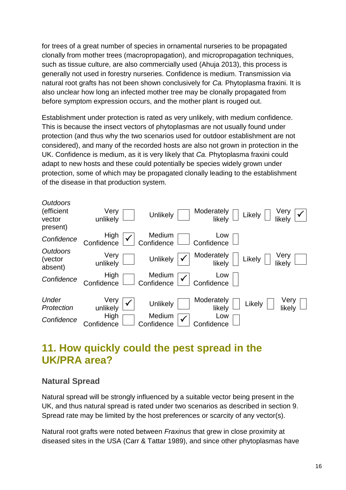for trees of a great number of species in ornamental nurseries to be propagated clonally from mother trees (macropropagation), and micropropagation techniques, such as tissue culture, are also commercially used (Ahuja 2013), this process is generally not used in forestry nurseries. Confidence is medium. Transmission via natural root grafts has not been shown conclusively for *Ca.* Phytoplasma fraxini. It is also unclear how long an infected mother tree may be clonally propagated from before symptom expression occurs, and the mother plant is rouged out.

Establishment under protection is rated as very unlikely, with medium confidence. This is because the insect vectors of phytoplasmas are not usually found under protection (and thus why the two scenarios used for outdoor establishment are not considered), and many of the recorded hosts are also not grown in protection in the UK. Confidence is medium, as it is very likely that *Ca.* Phytoplasma fraxini could adapt to new hosts and these could potentially be species widely grown under protection, some of which may be propagated clonally leading to the establishment of the disease in that production system.



## **11. How quickly could the pest spread in the UK/PRA area?**

#### **Natural Spread**

Natural spread will be strongly influenced by a suitable vector being present in the UK, and thus natural spread is rated under two scenarios as described in section 9. Spread rate may be limited by the host preferences or scarcity of any vector(s).

Natural root grafts were noted between *Fraxinus* that grew in close proximity at diseased sites in the USA (Carr & Tattar 1989), and since other phytoplasmas have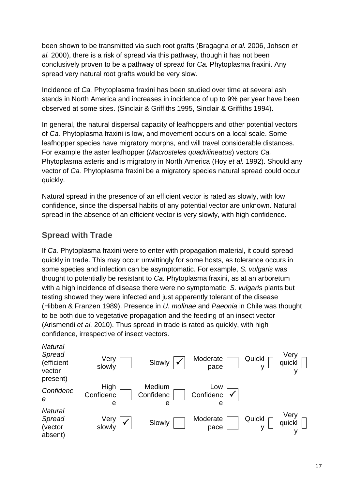been shown to be transmitted via such root grafts (Bragagna *et al.* 2006, Johson *et al.* 2000), there is a risk of spread via this pathway, though it has not been conclusively proven to be a pathway of spread for *Ca.* Phytoplasma fraxini. Any spread very natural root grafts would be very slow.

Incidence of *Ca.* Phytoplasma fraxini has been studied over time at several ash stands in North America and increases in incidence of up to 9% per year have been observed at some sites. (Sinclair & Griffiths 1995, Sinclair & Griffiths 1994).

In general, the natural dispersal capacity of leafhoppers and other potential vectors of *Ca.* Phytoplasma fraxini is low, and movement occurs on a local scale. Some leafhopper species have migratory morphs, and will travel considerable distances. For example the aster leafhopper (*Macrosteles quadrilineatus*) vectors *Ca.*  Phytoplasma asteris and is migratory in North America (Hoy *et al.* 1992). Should any vector of *Ca.* Phytoplasma fraxini be a migratory species natural spread could occur quickly.

Natural spread in the presence of an efficient vector is rated as slowly, with low confidence, since the dispersal habits of any potential vector are unknown. Natural spread in the absence of an efficient vector is very slowly, with high confidence.

#### **Spread with Trade**

If *Ca.* Phytoplasma fraxini were to enter with propagation material, it could spread quickly in trade. This may occur unwittingly for some hosts, as tolerance occurs in some species and infection can be asymptomatic. For example, *S. vulgaris* was thought to potentially be resistant to *Ca.* Phytoplasma fraxini, as at an arboretum with a high incidence of disease there were no symptomatic *S. vulgaris* plants but testing showed they were infected and just apparently tolerant of the disease (Hibben & Franzen 1989). Presence in *U. molinae* and *Paeonia* in Chile was thought to be both due to vegetative propagation and the feeding of an insect vector (Arismendi *et al.* 2010). Thus spread in trade is rated as quickly, with high confidence, irrespective of insect vectors.

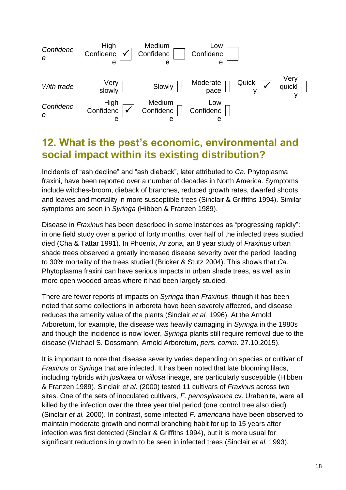

## **12. What is the pest's economic, environmental and social impact within its existing distribution?**

Incidents of "ash decline" and "ash dieback", later attributed to *Ca.* Phytoplasma fraxini, have been reported over a number of decades in North America. Symptoms include witches-broom, dieback of branches, reduced growth rates, dwarfed shoots and leaves and mortality in more susceptible trees (Sinclair & Griffiths 1994). Similar symptoms are seen in *Syringa* (Hibben & Franzen 1989).

Disease in *Fraxinus* has been described in some instances as "progressing rapidly": in one field study over a period of forty months, over half of the infected trees studied died (Cha & Tattar 1991). In Phoenix, Arizona, an 8 year study of *Fraxinus* urban shade trees observed a greatly increased disease severity over the period, leading to 30% mortality of the trees studied (Bricker & Stutz 2004). This shows that *Ca.*  Phytoplasma fraxini can have serious impacts in urban shade trees, as well as in more open wooded areas where it had been largely studied.

There are fewer reports of impacts on *Syringa* than *Fraxinus*, though it has been noted that some collections in arboreta have been severely affected, and disease reduces the amenity value of the plants (Sinclair *et al.* 1996). At the Arnold Arboretum, for example, the disease was heavily damaging in *Syringa* in the 1980s and though the incidence is now lower, *Syringa* plants still require removal due to the disease (Michael S. Dossmann, Arnold Arboretum, *pers. comm.* 27.10.2015).

It is important to note that disease severity varies depending on species or cultivar of *Fraxinus* or *Syringa* that are infected. It has been noted that late blooming lilacs, including hybrids with *josikaea* or *villosa* lineage, are particularly susceptible (Hibben & Franzen 1989). Sinclair *et al.* (2000) tested 11 cultivars of *Fraxinus* across two sites. One of the sets of inoculated cultivars, *F. pennsylvanica* cv. Urabanite, were all killed by the infection over the three year trial period (one control tree also died) (Sinclair *et al.* 2000). In contrast, some infected *F. americana* have been observed to maintain moderate growth and normal branching habit for up to 15 years after infection was first detected (Sinclair & Griffiths 1994), but it is more usual for significant reductions in growth to be seen in infected trees (Sinclair *et al.* 1993).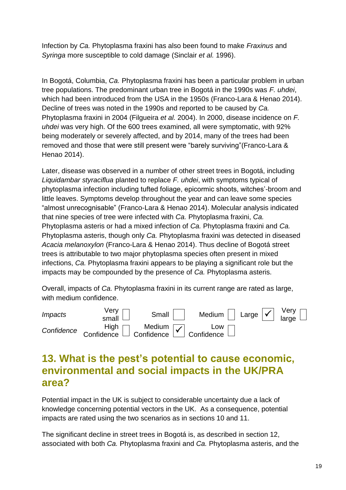Infection by *Ca.* Phytoplasma fraxini has also been found to make *Fraxinus* and *Syringa* more susceptible to cold damage (Sinclair *et al.* 1996).

In Bogotá, Columbia, *Ca.* Phytoplasma fraxini has been a particular problem in urban tree populations. The predominant urban tree in Bogotá in the 1990s was *F. uhdei*, which had been introduced from the USA in the 1950s (Franco-Lara & Henao 2014). Decline of trees was noted in the 1990s and reported to be caused by *Ca.*  Phytoplasma fraxini in 2004 (Filgueira *et al.* 2004). In 2000, disease incidence on *F. uhdei* was very high. Of the 600 trees examined, all were symptomatic, with 92% being moderately or severely affected, and by 2014, many of the trees had been removed and those that were still present were "barely surviving"(Franco-Lara & Henao 2014).

Later, disease was observed in a number of other street trees in Bogotá, including *Liquidambar styraciflua* planted to replace *F. uhdei*, with symptoms typical of phytoplasma infection including tufted foliage, epicormic shoots, witches'-broom and little leaves. Symptoms develop throughout the year and can leave some species "almost unrecognisable" (Franco-Lara & Henao 2014). Molecular analysis indicated that nine species of tree were infected with *Ca.* Phytoplasma fraxini, *Ca.*  Phytoplasma asteris or had a mixed infection of *Ca.* Phytoplasma fraxini and *Ca.*  Phytoplasma asteris, though only *Ca.* Phytoplasma fraxini was detected in diseased *Acacia melanoxylon* (Franco-Lara & Henao 2014). Thus decline of Bogotá street trees is attributable to two major phytoplasma species often present in mixed infections, *Ca.* Phytoplasma fraxini appears to be playing a significant role but the impacts may be compounded by the presence of *Ca.* Phytoplasma asteris.

Overall, impacts of *Ca.* Phytoplasma fraxini in its current range are rated as large, with medium confidence.

| <i><b>Impacts</b></i> | Very<br>$small$ <sup><math>\perp</math></sup> | Small $\vert$                                                                                                                                                                                                                                                          | Medium $\Box$ Large $\boxed{\checkmark}$ $\begin{array}{c} \text{Very} \\ \text{large} \end{array}$ |  |
|-----------------------|-----------------------------------------------|------------------------------------------------------------------------------------------------------------------------------------------------------------------------------------------------------------------------------------------------------------------------|-----------------------------------------------------------------------------------------------------|--|
|                       |                                               | $\begin{array}{c} \text{Confidence} \\ \text{Confidence} \end{array}$ $\begin{array}{c} \text{High} \\ \text{Confidence} \end{array}$ $\begin{array}{c} \text{Median} \\ \text{Confidence} \end{array}$ $\begin{array}{c} \text{Low} \\ \text{Confidence} \end{array}$ |                                                                                                     |  |

## **13. What is the pest's potential to cause economic, environmental and social impacts in the UK/PRA area?**

Potential impact in the UK is subject to considerable uncertainty due a lack of knowledge concerning potential vectors in the UK. As a consequence, potential impacts are rated using the two scenarios as in sections 10 and 11.

The significant decline in street trees in Bogotá is, as described in section 12, associated with both *Ca.* Phytoplasma fraxini and *Ca.* Phytoplasma asteris, and the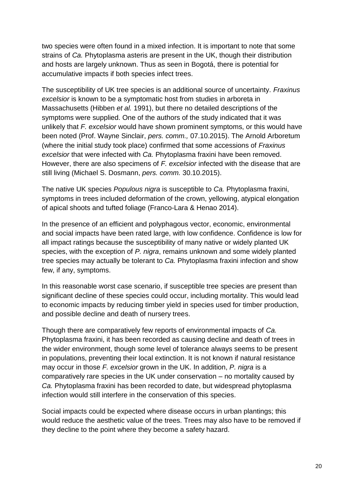two species were often found in a mixed infection. It is important to note that some strains of *Ca.* Phytoplasma asteris are present in the UK, though their distribution and hosts are largely unknown. Thus as seen in Bogotá, there is potential for accumulative impacts if both species infect trees.

The susceptibility of UK tree species is an additional source of uncertainty. *Fraxinus excelsior* is known to be a symptomatic host from studies in arboreta in Massachusetts (Hibben *et al.* 1991), but there no detailed descriptions of the symptoms were supplied. One of the authors of the study indicated that it was unlikely that *F. excelsior* would have shown prominent symptoms, or this would have been noted (Prof. Wayne Sinclair, *pers. comm.,* 07.10.2015). The Arnold Arboretum (where the initial study took place) confirmed that some accessions of *Fraxinus excelsior* that were infected with *Ca.* Phytoplasma fraxini have been removed. However, there are also specimens of *F. excelsior* infected with the disease that are still living (Michael S. Dosmann, *pers. comm.* 30.10.2015).

The native UK species *Populous nigra* is susceptible to *Ca.* Phytoplasma fraxini, symptoms in trees included deformation of the crown, yellowing, atypical elongation of apical shoots and tufted foliage (Franco-Lara & Henao 2014).

In the presence of an efficient and polyphagous vector, economic, environmental and social impacts have been rated large, with low confidence. Confidence is low for all impact ratings because the susceptibility of many native or widely planted UK species, with the exception of *P. nigra*, remains unknown and some widely planted tree species may actually be tolerant to *Ca.* Phytoplasma fraxini infection and show few, if any, symptoms.

In this reasonable worst case scenario, if susceptible tree species are present than significant decline of these species could occur, including mortality. This would lead to economic impacts by reducing timber yield in species used for timber production, and possible decline and death of nursery trees.

Though there are comparatively few reports of environmental impacts of *Ca.*  Phytoplasma fraxini, it has been recorded as causing decline and death of trees in the wider environment, though some level of tolerance always seems to be present in populations, preventing their local extinction. It is not known if natural resistance may occur in those *F. excelsior* grown in the UK. In addition, *P. nigra* is a comparatively rare species in the UK under conservation – no mortality caused by *Ca.* Phytoplasma fraxini has been recorded to date, but widespread phytoplasma infection would still interfere in the conservation of this species.

Social impacts could be expected where disease occurs in urban plantings; this would reduce the aesthetic value of the trees. Trees may also have to be removed if they decline to the point where they become a safety hazard.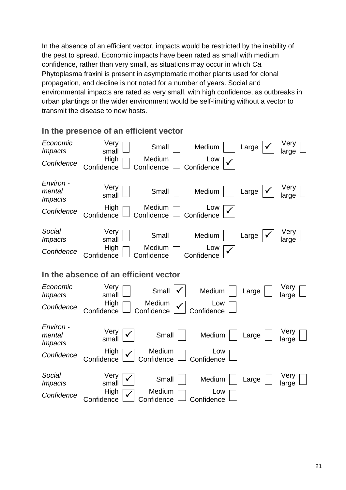In the absence of an efficient vector, impacts would be restricted by the inability of the pest to spread. Economic impacts have been rated as small with medium confidence, rather than very small, as situations may occur in which *Ca.*  Phytoplasma fraxini is present in asymptomatic mother plants used for clonal propagation, and decline is not noted for a number of years. Social and environmental impacts are rated as very small, with high confidence, as outbreaks in urban plantings or the wider environment would be self-limiting without a vector to transmit the disease to new hosts.

| Economic<br><i>Impacts</i><br>Confidence            | Very<br>Medium<br>Large<br>Small<br>small<br>Medium<br>High<br>Low<br>Confidence<br>Confidence<br>Confidence | Very<br>large |
|-----------------------------------------------------|--------------------------------------------------------------------------------------------------------------|---------------|
| Environ -<br>mental<br><i>Impacts</i><br>Confidence | Very<br>Medium<br>Small<br>Large<br>small<br>High<br>Medium<br>Low<br>Confidence<br>Confidence<br>Confidence | Very<br>large |
| Social<br><i>Impacts</i><br>Confidence              | Very<br>Small<br>Medium<br>Large<br>small<br>Medium<br>High<br>Low<br>Confidence<br>Confidence<br>Confidence | Very<br>large |
|                                                     | In the absence of an efficient vector                                                                        |               |
| Economic<br><i>Impacts</i><br>Confidence            | Very<br>Medium<br>Small<br>Large<br>small<br>Medium<br>High<br>Low<br>Confidence<br>Confidence<br>Confidence | Very<br>large |
| Environ -<br>mental<br><i>Impacts</i><br>Confidence | Very<br>Small<br>Medium<br>Large<br>small<br>Medium<br>High<br>Low<br>Confidence<br>Confidence<br>Confidence | Very<br>large |
| Social<br><i>Impacts</i><br>Confidence              | Very<br>Small<br>Medium<br>Large<br>small<br>Medium<br>High<br>Low<br>Confidence<br>Confidence<br>Confidence | Very<br>large |

#### **In the presence of an efficient vector**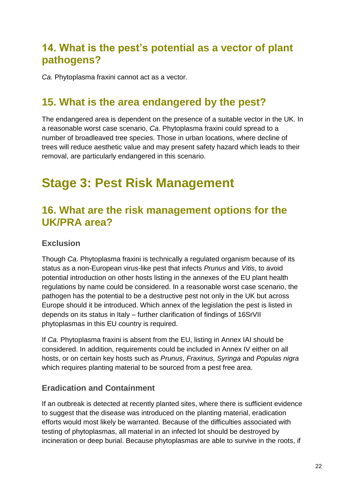## **14. What is the pest's potential as a vector of plant pathogens?**

*Ca.* Phytoplasma fraxini cannot act as a vector.

## **15. What is the area endangered by the pest?**

The endangered area is dependent on the presence of a suitable vector in the UK. In a reasonable worst case scenario, *Ca.* Phytoplasma fraxini could spread to a number of broadleaved tree species. Those in urban locations, where decline of trees will reduce aesthetic value and may present safety hazard which leads to their removal, are particularly endangered in this scenario.

# **Stage 3: Pest Risk Management**

### **16. What are the risk management options for the UK/PRA area?**

#### **Exclusion**

Though *Ca.* Phytoplasma fraxini is technically a regulated organism because of its status as a non-European virus-like pest that infects *Prunus* and *Vitis*, to avoid potential introduction on other hosts listing in the annexes of the EU plant health regulations by name could be considered. In a reasonable worst case scenario, the pathogen has the potential to be a destructive pest not only in the UK but across Europe should it be introduced. Which annex of the legislation the pest is listed in depends on its status in Italy – further clarification of findings of 16SrVII phytoplasmas in this EU country is required.

If *Ca.* Phytoplasma fraxini is absent from the EU, listing in Annex IAI should be considered. In addition, requirements could be included in Annex IV either on all hosts, or on certain key hosts such as *Prunus*, *Fraxinus, Syringa* and *Populas nigra* which requires planting material to be sourced from a pest free area.

#### **Eradication and Containment**

If an outbreak is detected at recently planted sites, where there is sufficient evidence to suggest that the disease was introduced on the planting material, eradication efforts would most likely be warranted. Because of the difficulties associated with testing of phytoplasmas, all material in an infected lot should be destroyed by incineration or deep burial. Because phytoplasmas are able to survive in the roots, if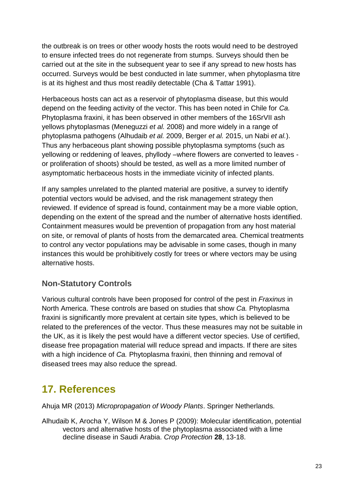the outbreak is on trees or other woody hosts the roots would need to be destroyed to ensure infected trees do not regenerate from stumps. Surveys should then be carried out at the site in the subsequent year to see if any spread to new hosts has occurred. Surveys would be best conducted in late summer, when phytoplasma titre is at its highest and thus most readily detectable (Cha & Tattar 1991).

Herbaceous hosts can act as a reservoir of phytoplasma disease, but this would depend on the feeding activity of the vector. This has been noted in Chile for *Ca.*  Phytoplasma fraxini, it has been observed in other members of the 16SrVII ash yellows phytoplasmas (Meneguzzi *et al.* 2008) and more widely in a range of phytoplasma pathogens (Alhudaib *et al.* 2009, Berger *et al.* 2015, un Nabi *et al.*). Thus any herbaceous plant showing possible phytoplasma symptoms (such as yellowing or reddening of leaves, phyllody –where flowers are converted to leaves or proliferation of shoots) should be tested, as well as a more limited number of asymptomatic herbaceous hosts in the immediate vicinity of infected plants.

If any samples unrelated to the planted material are positive, a survey to identify potential vectors would be advised, and the risk management strategy then reviewed. If evidence of spread is found, containment may be a more viable option, depending on the extent of the spread and the number of alternative hosts identified. Containment measures would be prevention of propagation from any host material on site, or removal of plants of hosts from the demarcated area. Chemical treatments to control any vector populations may be advisable in some cases, though in many instances this would be prohibitively costly for trees or where vectors may be using alternative hosts.

#### **Non-Statutory Controls**

Various cultural controls have been proposed for control of the pest in *Fraxinus* in North America. These controls are based on studies that show *Ca.* Phytoplasma fraxini is significantly more prevalent at certain site types, which is believed to be related to the preferences of the vector. Thus these measures may not be suitable in the UK, as it is likely the pest would have a different vector species. Use of certified, disease free propagation material will reduce spread and impacts. If there are sites with a high incidence of *Ca.* Phytoplasma fraxini, then thinning and removal of diseased trees may also reduce the spread.

## **17. References**

Ahuja MR (2013) *Micropropagation of Woody Plants*. Springer Netherlands.

Alhudaib K, Arocha Y, Wilson M & Jones P (2009): Molecular identification, potential vectors and alternative hosts of the phytoplasma associated with a lime decline disease in Saudi Arabia. *Crop Protection* **28**, 13-18.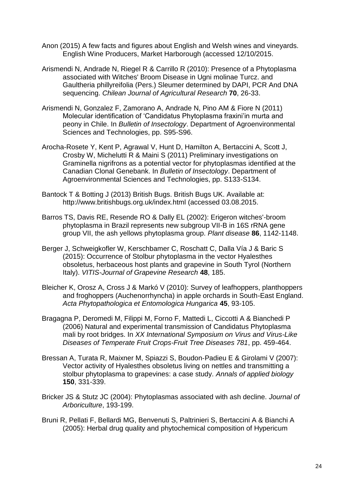- Anon (2015) A few facts and figures about English and Welsh wines and vineyards. English Wine Producers, Market Harborough (accessed 12/10/2015.
- Arismendi N, Andrade N, Riegel R & Carrillo R (2010): Presence of a Phytoplasma associated with Witches' Broom Disease in Ugni molinae Turcz. and Gaultheria phillyreifolia (Pers.) Sleumer determined by DAPI, PCR And DNA sequencing. *Chilean Journal of Agricultural Research* **70**, 26-33.
- Arismendi N, Gonzalez F, Zamorano A, Andrade N, Pino AM & Fiore N (2011) Molecular identification of 'Candidatus Phytoplasma fraxini'in murta and peony in Chile. In *Bulletin of Insectology*. Department of Agroenvironmental Sciences and Technologies, pp. S95-S96.
- Arocha-Rosete Y, Kent P, Agrawal V, Hunt D, Hamilton A, Bertaccini A, Scott J, Crosby W, Michelutti R & Maini S (2011) Preliminary investigations on Graminella nigrifrons as a potential vector for phytoplasmas identified at the Canadian Clonal Genebank. In *Bulletin of Insectology*. Department of Agroenvironmental Sciences and Technologies, pp. S133-S134.
- Bantock T & Botting J (2013) British Bugs. British Bugs UK. Available at: http://www.britishbugs.org.uk/index.html (accessed 03.08.2015.
- Barros TS, Davis RE, Resende RO & Dally EL (2002): Erigeron witches'-broom phytoplasma in Brazil represents new subgroup VII-B in 16S rRNA gene group VII, the ash yellows phytoplasma group. *Plant disease* **86**, 1142-1148.
- Berger J, Schweigkofler W, Kerschbamer C, Roschatt C, Dalla Vía J & Baric S (2015): Occurrence of Stolbur phytoplasma in the vector Hyalesthes obsoletus, herbaceous host plants and grapevine in South Tyrol (Northern Italy). *VITIS-Journal of Grapevine Research* **48**, 185.
- Bleicher K, Orosz A, Cross J & Markó V (2010): Survey of leafhoppers, planthoppers and froghoppers (Auchenorrhyncha) in apple orchards in South-East England. *Acta Phytopathologica et Entomologica Hungarica* **45**, 93-105.
- Bragagna P, Deromedi M, Filippi M, Forno F, Mattedi L, Ciccotti A & Bianchedi P (2006) Natural and experimental transmission of Candidatus Phytoplasma mali by root bridges. In *XX International Symposium on Virus and Virus-Like Diseases of Temperate Fruit Crops-Fruit Tree Diseases 781*, pp. 459-464.
- Bressan A, Turata R, Maixner M, Spiazzi S, Boudon‐Padieu E & Girolami V (2007): Vector activity of Hyalesthes obsoletus living on nettles and transmitting a stolbur phytoplasma to grapevines: a case study. *Annals of applied biology* **150**, 331-339.
- Bricker JS & Stutz JC (2004): Phytoplasmas associated with ash decline. *Journal of Arboriculture*, 193-199.
- Bruni R, Pellati F, Bellardi MG, Benvenuti S, Paltrinieri S, Bertaccini A & Bianchi A (2005): Herbal drug quality and phytochemical composition of Hypericum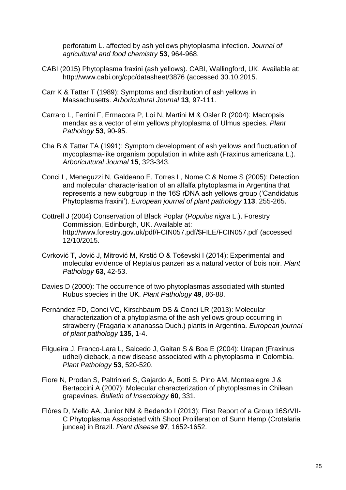perforatum L. affected by ash yellows phytoplasma infection. *Journal of agricultural and food chemistry* **53**, 964-968.

- CABI (2015) Phytoplasma fraxini (ash yellows). CABI, Wallingford, UK. Available at: http://www.cabi.org/cpc/datasheet/3876 (accessed 30.10.2015.
- Carr K & Tattar T (1989): Symptoms and distribution of ash yellows in Massachusetts. *Arboricultural Journal* **13**, 97-111.
- Carraro L, Ferrini F, Ermacora P, Loi N, Martini M & Osler R (2004): Macropsis mendax as a vector of elm yellows phytoplasma of Ulmus species. *Plant Pathology* **53**, 90-95.
- Cha B & Tattar TA (1991): Symptom development of ash yellows and fluctuation of mycoplasma-like organism population in white ash (Fraxinus americana L.). *Arboricultural Journal* **15**, 323-343.
- Conci L, Meneguzzi N, Galdeano E, Torres L, Nome C & Nome S (2005): Detection and molecular characterisation of an alfalfa phytoplasma in Argentina that represents a new subgroup in the 16S rDNA ash yellows group ('Candidatus Phytoplasma fraxini'). *European journal of plant pathology* **113**, 255-265.
- Cottrell J (2004) Conservation of Black Poplar (*Populus nigra* L.). Forestry Commission, Edinburgh, UK. Available at: http://www.forestry.gov.uk/pdf/FCIN057.pdf/\$FILE/FCIN057.pdf (accessed 12/10/2015.
- Cvrković T, Jović J, Mitrović M, Krstić O & Toševski I (2014): Experimental and molecular evidence of Reptalus panzeri as a natural vector of bois noir. *Plant Pathology* **63**, 42-53.
- Davies D (2000): The occurrence of two phytoplasmas associated with stunted Rubus species in the UK. *Plant Pathology* **49**, 86-88.
- Fernández FD, Conci VC, Kirschbaum DS & Conci LR (2013): Molecular characterization of a phytoplasma of the ash yellows group occurring in strawberry (Fragaria x ananassa Duch.) plants in Argentina. *European journal of plant pathology* **135**, 1-4.
- Filgueira J, Franco‐Lara L, Salcedo J, Gaitan S & Boa E (2004): Urapan (Fraxinus udhei) dieback, a new disease associated with a phytoplasma in Colombia. *Plant Pathology* **53**, 520-520.
- Fiore N, Prodan S, Paltrinieri S, Gajardo A, Botti S, Pino AM, Montealegre J & Bertaccini A (2007): Molecular characterization of phytoplasmas in Chilean grapevines. *Bulletin of Insectology* **60**, 331.
- Flôres D, Mello AA, Junior NM & Bedendo I (2013): First Report of a Group 16SrVII-C Phytoplasma Associated with Shoot Proliferation of Sunn Hemp (Crotalaria juncea) in Brazil. *Plant disease* **97**, 1652-1652.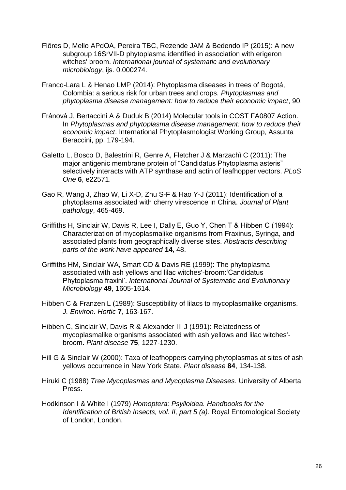- Flôres D, Mello APdOA, Pereira TBC, Rezende JAM & Bedendo IP (2015): A new subgroup 16SrVII-D phytoplasma identified in association with erigeron witches' broom. *International journal of systematic and evolutionary microbiology*, ijs. 0.000274.
- Franco-Lara L & Henao LMP (2014): Phytoplasma diseases in trees of Bogotá, Colombia: a serious risk for urban trees and crops. *Phytoplasmas and phytoplasma disease management: how to reduce their economic impact*, 90.
- Fránová J, Bertaccini A & Duduk B (2014) Molecular tools in COST FA0807 Action. In *Phytoplasmas and phytoplasma disease management: how to reduce their economic impact*. International Phytoplasmologist Working Group, Assunta Beraccini, pp. 179-194.
- Galetto L, Bosco D, Balestrini R, Genre A, Fletcher J & Marzachì C (2011): The major antigenic membrane protein of "Candidatus Phytoplasma asteris" selectively interacts with ATP synthase and actin of leafhopper vectors. *PLoS One* **6**, e22571.
- Gao R, Wang J, Zhao W, Li X-D, Zhu S-F & Hao Y-J (2011): Identification of a phytoplasma associated with cherry virescence in China. *Journal of Plant pathology*, 465-469.
- Griffiths H, Sinclair W, Davis R, Lee I, Dally E, Guo Y, Chen T & Hibben С (1994): Characterization of mycoplasmalike organisms from Fraxinus, Syringa, and associated plants from geographically diverse sites. *Abstracts describing parts of the work have appeared* **14**, 48.
- Griffiths HM, Sinclair WA, Smart CD & Davis RE (1999): The phytoplasma associated with ash yellows and lilac witches'-broom:'Candidatus Phytoplasma fraxini'. *International Journal of Systematic and Evolutionary Microbiology* **49**, 1605-1614.
- Hibben C & Franzen L (1989): Susceptibility of lilacs to mycoplasmalike organisms. *J. Environ. Hortic* **7**, 163-167.
- Hibben C, Sinclair W, Davis R & Alexander III J (1991): Relatedness of mycoplasmalike organisms associated with ash yellows and lilac witches' broom. *Plant disease* **75**, 1227-1230.
- Hill G & Sinclair W (2000): Taxa of leafhoppers carrying phytoplasmas at sites of ash yellows occurrence in New York State. *Plant disease* **84**, 134-138.
- Hiruki C (1988) *Tree Mycoplasmas and Mycoplasma Diseases*. University of Alberta Press.
- Hodkinson I & White I (1979) *Homoptera: Psylloidea. Handbooks for the Identification of British Insects, vol. II, part 5 (a)*. Royal Entomological Society of London, London.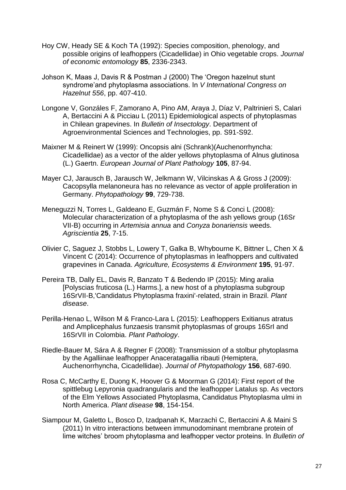- Hoy CW, Heady SE & Koch TA (1992): Species composition, phenology, and possible origins of leafhoppers (Cicadellidae) in Ohio vegetable crops. *Journal of economic entomology* **85**, 2336-2343.
- Johson K, Maas J, Davis R & Postman J (2000) The 'Oregon hazelnut stunt syndrome'and phytoplasma associations. In *V International Congress on Hazelnut 556*, pp. 407-410.
- Longone V, Gonzáles F, Zamorano A, Pino AM, Araya J, Díaz V, Paltrinieri S, Calari A, Bertaccini A & Picciau L (2011) Epidemiological aspects of phytoplasmas in Chilean grapevines. In *Bulletin of Insectology*. Department of Agroenvironmental Sciences and Technologies, pp. S91-S92.
- Maixner M & Reinert W (1999): Oncopsis alni (Schrank)(Auchenorrhyncha: Cicadellidae) as a vector of the alder yellows phytoplasma of Alnus glutinosa (L.) Gaertn. *European Journal of Plant Pathology* **105**, 87-94.
- Mayer CJ, Jarausch B, Jarausch W, Jelkmann W, Vilcinskas A & Gross J (2009): Cacopsylla melanoneura has no relevance as vector of apple proliferation in Germany. *Phytopathology* **99**, 729-738.
- Meneguzzi N, Torres L, Galdeano E, Guzmán F, Nome S & Conci L (2008): Molecular characterization of a phytoplasma of the ash yellows group (16Sr VII-B) occurring in *Artemisia annua* and *Conyza bonariensis* weeds. *Agriscientia* **25**, 7-15.
- Olivier C, Saguez J, Stobbs L, Lowery T, Galka B, Whybourne K, Bittner L, Chen X & Vincent C (2014): Occurrence of phytoplasmas in leafhoppers and cultivated grapevines in Canada. *Agriculture, Ecosystems & Environment* **195**, 91-97.
- Pereira TB, Dally EL, Davis R, Banzato T & Bedendo IP (2015): Ming aralia [Polyscias fruticosa (L.) Harms.], a new host of a phytoplasma subgroup 16SrVII-B,'Candidatus Phytoplasma fraxini'-related, strain in Brazil. *Plant disease*.
- Perilla‐Henao L, Wilson M & Franco‐Lara L (2015): Leafhoppers Exitianus atratus and Amplicephalus funzaesis transmit phytoplasmas of groups 16SrI and 16SrVII in Colombia. *Plant Pathology*.
- Riedle‐Bauer M, Sára A & Regner F (2008): Transmission of a stolbur phytoplasma by the Agalliinae leafhopper Anaceratagallia ribauti (Hemiptera, Auchenorrhyncha, Cicadellidae). *Journal of Phytopathology* **156**, 687-690.
- Rosa C, McCarthy E, Duong K, Hoover G & Moorman G (2014): First report of the spittlebug Lepyronia quadrangularis and the leafhopper Latalus sp. As vectors of the Elm Yellows Associated Phytoplasma, Candidatus Phytoplasma ulmi in North America. *Plant disease* **98**, 154-154.
- Siampour M, Galetto L, Bosco D, Izadpanah K, Marzachì C, Bertaccini A & Maini S (2011) In vitro interactions between immunodominant membrane protein of lime witches' broom phytoplasma and leafhopper vector proteins. In *Bulletin of*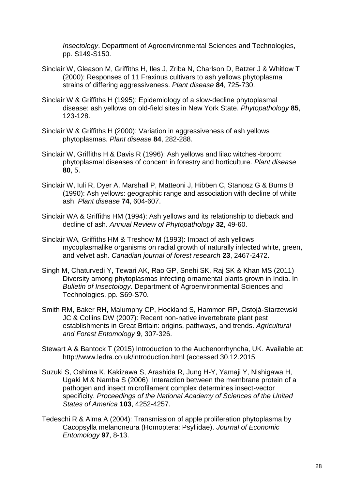*Insectology*. Department of Agroenvironmental Sciences and Technologies, pp. S149-S150.

- Sinclair W, Gleason M, Griffiths H, Iles J, Zriba N, Charlson D, Batzer J & Whitlow T (2000): Responses of 11 Fraxinus cultivars to ash yellows phytoplasma strains of differing aggressiveness. *Plant disease* **84**, 725-730.
- Sinclair W & Griffiths H (1995): Epidemiology of a slow-decline phytoplasmal disease: ash yellows on old-field sites in New York State. *Phytopathology* **85**, 123-128.
- Sinclair W & Griffiths H (2000): Variation in aggressiveness of ash yellows phytoplasmas. *Plant disease* **84**, 282-288.
- Sinclair W, Griffiths H & Davis R (1996): Ash yellows and lilac witches'-broom: phytoplasmal diseases of concern in forestry and horticulture. *Plant disease* **80**, 5.
- Sinclair W, Iuli R, Dyer A, Marshall P, Matteoni J, Hibben C, Stanosz G & Burns B (1990): Ash yellows: geographic range and association with decline of white ash. *Plant disease* **74**, 604-607.
- Sinclair WA & Griffiths HM (1994): Ash yellows and its relationship to dieback and decline of ash. *Annual Review of Phytopathology* **32**, 49-60.
- Sinclair WA, Griffiths HM & Treshow M (1993): Impact of ash yellows mycoplasmalike organisms on radial growth of naturally infected white, green, and velvet ash. *Canadian journal of forest research* **23**, 2467-2472.
- Singh M, Chaturvedi Y, Tewari AK, Rao GP, Snehi SK, Raj SK & Khan MS (2011) Diversity among phytoplasmas infecting ornamental plants grown in India. In *Bulletin of Insectology*. Department of Agroenvironmental Sciences and Technologies, pp. S69-S70.
- Smith RM, Baker RH, Malumphy CP, Hockland S, Hammon RP, Ostojá‐Starzewski JC & Collins DW (2007): Recent non‐native invertebrate plant pest establishments in Great Britain: origins, pathways, and trends. *Agricultural and Forest Entomology* **9**, 307-326.
- Stewart A & Bantock T (2015) Introduction to the Auchenorrhyncha, UK. Available at: http://www.ledra.co.uk/introduction.html (accessed 30.12.2015.
- Suzuki S, Oshima K, Kakizawa S, Arashida R, Jung H-Y, Yamaji Y, Nishigawa H, Ugaki M & Namba S (2006): Interaction between the membrane protein of a pathogen and insect microfilament complex determines insect-vector specificity. *Proceedings of the National Academy of Sciences of the United States of America* **103**, 4252-4257.
- Tedeschi R & Alma A (2004): Transmission of apple proliferation phytoplasma by Cacopsylla melanoneura (Homoptera: Psyllidae). *Journal of Economic Entomology* **97**, 8-13.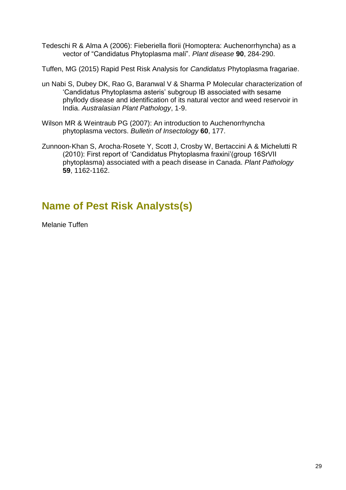Tedeschi R & Alma A (2006): Fieberiella florii (Homoptera: Auchenorrhyncha) as a vector of "Candidatus Phytoplasma mali". *Plant disease* **90**, 284-290.

Tuffen, MG (2015) Rapid Pest Risk Analysis for *Candidatus* Phytoplasma fragariae.

- un Nabi S, Dubey DK, Rao G, Baranwal V & Sharma P Molecular characterization of 'Candidatus Phytoplasma asteris' subgroup IB associated with sesame phyllody disease and identification of its natural vector and weed reservoir in India. *Australasian Plant Pathology*, 1-9.
- Wilson MR & Weintraub PG (2007): An introduction to Auchenorrhyncha phytoplasma vectors. *Bulletin of Insectology* **60**, 177.
- Zunnoon‐Khan S, Arocha‐Rosete Y, Scott J, Crosby W, Bertaccini A & Michelutti R (2010): First report of 'Candidatus Phytoplasma fraxini'(group 16SrVII phytoplasma) associated with a peach disease in Canada. *Plant Pathology* **59**, 1162-1162.

## **Name of Pest Risk Analysts(s)**

Melanie Tuffen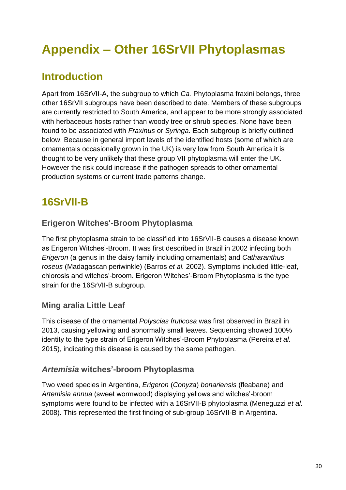# **Appendix – Other 16SrVII Phytoplasmas**

## **Introduction**

Apart from 16SrVII-A, the subgroup to which *Ca.* Phytoplasma fraxini belongs, three other 16SrVII subgroups have been described to date. Members of these subgroups are currently restricted to South America, and appear to be more strongly associated with herbaceous hosts rather than woody tree or shrub species. None have been found to be associated with *Fraxinus* or *Syringa.* Each subgroup is briefly outlined below. Because in general import levels of the identified hosts (some of which are ornamentals occasionally grown in the UK) is very low from South America it is thought to be very unlikely that these group VII phytoplasma will enter the UK. However the risk could increase if the pathogen spreads to other ornamental production systems or current trade patterns change.

## **16SrVII-B**

#### **Erigeron Witches'-Broom Phytoplasma**

The first phytoplasma strain to be classified into 16SrVII-B causes a disease known as Erigeron Witches'-Broom. It was first described in Brazil in 2002 infecting both *Erigeron* (a genus in the daisy family including ornamentals) and *Catharanthus roseus* (Madagascan periwinkle) (Barros *et al.* 2002). Symptoms included little-leaf, chlorosis and witches'-broom. Erigeron Witches'-Broom Phytoplasma is the type strain for the 16SrVII-B subgroup.

#### **Ming aralia Little Leaf**

This disease of the ornamental *Polyscias fruticosa* was first observed in Brazil in 2013, causing yellowing and abnormally small leaves. Sequencing showed 100% identity to the type strain of Erigeron Witches'-Broom Phytoplasma (Pereira *et al.* 2015), indicating this disease is caused by the same pathogen.

#### *Artemisia* **witches'-broom Phytoplasma**

Two weed species in Argentina, *Erigeron* (*Conyza*) *bonariensis* (fleabane) and *Artemisia annua* (sweet wormwood) displaying yellows and witches'-broom symptoms were found to be infected with a 16SrVII-B phytoplasma (Meneguzzi *et al.* 2008). This represented the first finding of sub-group 16SrVII-B in Argentina.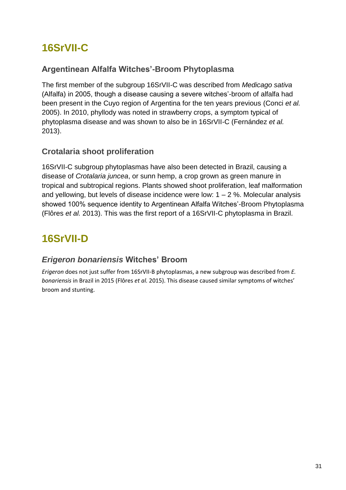## **16SrVII-C**

#### **Argentinean Alfalfa Witches'-Broom Phytoplasma**

The first member of the subgroup 16SrVII-C was described from *Medicago sativa*  (Alfalfa) in 2005, though a disease causing a severe witches'-broom of alfalfa had been present in the Cuyo region of Argentina for the ten years previous (Conci *et al.* 2005). In 2010, phyllody was noted in strawberry crops, a symptom typical of phytoplasma disease and was shown to also be in 16SrVII-C (Fernández *et al.* 2013).

#### **Crotalaria shoot proliferation**

16SrVII-C subgroup phytoplasmas have also been detected in Brazil, causing a disease of *Crotalaria juncea*, or sunn hemp, a crop grown as green manure in tropical and subtropical regions. Plants showed shoot proliferation, leaf malformation and yellowing, but levels of disease incidence were low:  $1 - 2$  %. Molecular analysis showed 100% sequence identity to Argentinean Alfalfa Witches'-Broom Phytoplasma (Flôres *et al.* 2013). This was the first report of a 16SrVII-C phytoplasma in Brazil.

## **16SrVII-D**

#### *Erigeron bonariensis* **Witches' Broom**

*Erigeron* does not just suffer from 16SrVII-B phytoplasmas, a new subgroup was described from *E. bonariensis* in Brazil in 2015 (Flôres *et al.* 2015). This disease caused similar symptoms of witches' broom and stunting.